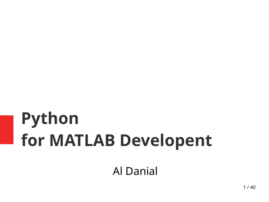# **Python for MATLAB Developent**

Al Danial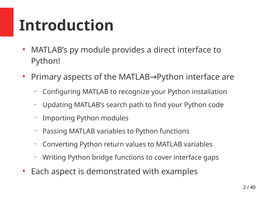# **Introduction**

- MATLAB's py module provides a direct interface to Python!
- Primary aspects of the MATLAB→Python interface are
	- Configuring MATLAB to recognize your Python installation
	- Updating MATLAB's search path to find your Python code
	- Importing Python modules
	- Passing MATLAB variables to Python functions
	- Converting Python return values to MATLAB variables
	- Writing Python bridge functions to cover interface gaps
- Each aspect is demonstrated with examples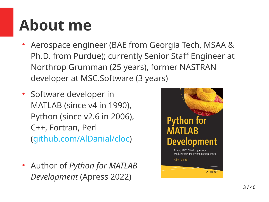# **About me**

- Aerospace engineer (BAE from Georgia Tech, MSAA & Ph.D. from Purdue); currently Senior Staff Engineer at Northrop Grumman (25 years), former NASTRAN developer at MSC.Software (3 years)
- Software developer in MATLAB (since v4 in 1990), Python (since v2.6 in 2006), C++, Fortran, Perl ([github.com/AlDanial/cloc](https://github.com/AlDanial/cloc))
- Author of *Python for MATLAB Development* (Apress 2022)

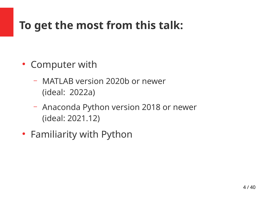# **To get the most from this talk:**

- Computer with
	- MATLAB version 2020b or newer (ideal: 2022a)
	- Anaconda Python version 2018 or newer (ideal: 2021.12)
- Familiarity with Python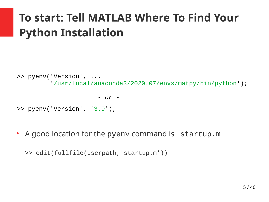# **To start: Tell MATLAB Where To Find Your Python Installation**

```
>> pyenv('Version', ...
          '/usr/local/anaconda3/2020.07/envs/matpy/bin/python');
```
 *- or -*

- >> pyenv('Version', '3.9');
- A good location for the pyenv command is startup.m

>> edit(fullfile(userpath,'startup.m'))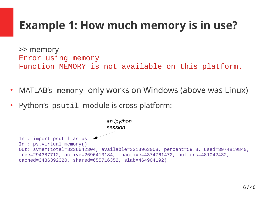# **Example 1: How much memory is in use?**

>> memory Error using memory Function MEMORY is not available on this platform.

- MATLAB's memory only works on Windows (above was Linux)
- Python's psutil module is cross-platform:

In : import psutil as ps In : ps.virtual memory() Out: svmem(total=8236642304, available=3313963008, percent=59.8, used=3974819840, free=294387712, active=2696413184, inactive=4374761472, buffers=481042432, cached=3486392320, shared=655716352, slab=464904192) *an ipython session*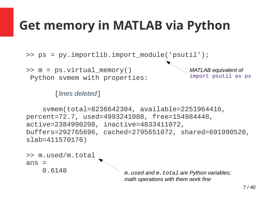# **Get memory in MATLAB via Python**

>> ps = py.importlib.import\_module('psutil');

>> m = ps.virtual\_memory() Python svmem with properties: *MATLAB equivalent of*  import psutil as ps

[*lines deleted*]

 svmem(total=8236642304, available=2251964416, percent=72.7, used=4993241088, free=154984448, active=2384990208, inactive=4833411072, buffers=292765696, cached=2795651072, shared=691990528, slab=411570176)



*math operations with them work fine*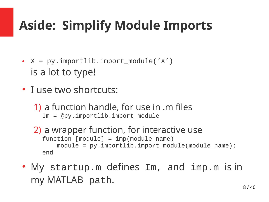# **Aside: Simplify Module Imports**

- $X = py$ .importlib.import\_module('X') is a lot to type!
- I use two shortcuts:
	- 1) a function handle, for use in .m files Im = @py.importlib.import\_module
	- 2) a wrapper function, for interactive use  $function$   $[module] = imp (module_name)$ module = py.importlib.import\_module(module\_name); end
- My startup.m defines Im, and imp.m is in my MATLAB path.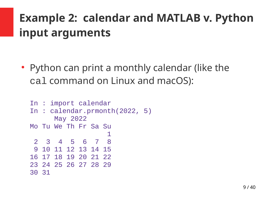# **Example 2: calendar and MATLAB v. Python input arguments**

• Python can print a monthly calendar (like the cal command on Linux and macOS):

```
In : import calendar
In : calendar.prmonth(2022, 5)
      May 2022
Mo Tu We Th Fr Sa Su
1 2 3 4 5 6 7 8
 9 10 11 12 13 14 15
16 17 18 19 20 21 22
23 24 25 26 27 28 29
30 31
```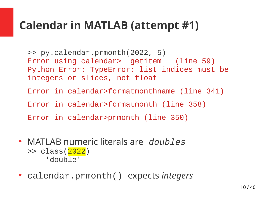## **Calendar in MATLAB (attempt #1)**

>> py.calendar.prmonth(2022, 5) Error using calendar><br>
<u>getitem</u>
(line 59) Python Error: TypeError: list indices must be integers or slices, not float

Error in calendar>formatmonthname (line 341)

Error in calendar>formatmonth (line 358)

Error in calendar>prmonth (line 350)

- MATLAB numeric literals are *doubles* >> class(2022) 'double'
- calendar.prmonth() expects *integers*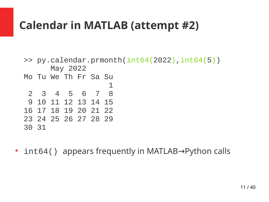# **Calendar in MATLAB (attempt #2)**

```
\gg py.calendar.prmonth(int64(2022),int64(5))
      May 2022
Mo Tu We Th Fr Sa Su
 1
 2 3 4 5 6 7 8
 9 10 11 12 13 14 15
16 17 18 19 20 21 22
23 24 25 26 27 28 29
30 31
```
• int64() appears frequently in MATLAB→Python calls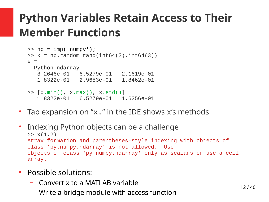# **Python Variables Retain Access to Their Member Functions**

```
\Rightarrow np = imp('numpy');
\Rightarrow x = np.random.randn(int64(2), int64(3))x = Python ndarray:
    3.2646e-01 6.5279e-01 2.1619e-01
    1.8322e-01 2.9653e-01 1.8462e-01
>> [x.min(), x.max(), x.std()]
    1.8322e-01 6.5279e-01 1.6256e-01
```
- Tab expansion on "x." in the IDE shows  $x'$ s methods
- Indexing Python objects can be a challenge  $>> x(1,2)$ Array formation and parentheses-style indexing with objects of class 'py.numpy.ndarray' is not allowed. Use objects of class 'py.numpy.ndarray' only as scalars or use a cell array.
- Possible solutions:
	- Convert x to a MATLAB variable
	- Write a bridge module with access function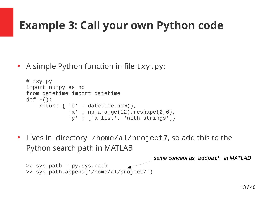# **Example 3: Call your own Python code**

• A simple Python function in file txy.py:

```
# txy.py
import numpy as np
from datetime import datetime
def F():
     return { 't' : datetime.now(),
              'x' : np.arange(12).reshape(2,6),
               'y' : ['a list', 'with strings']}
```
Lives in directory /home/al/project7, so add this to the Python search path in MATLAB

```
\Rightarrow sys_path = py.sys.path
>> sys_path.append('/home/al/project7')
```
*same concept as addpath in MATLAB*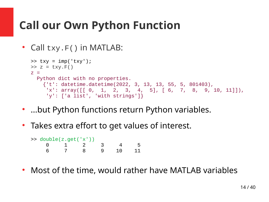# **Call our Own Python Function**

```
• Call txy.F() in MATLAB:
```

```
\Rightarrow txy = imp('txy');
\Rightarrow z = txy.F()
z = Python dict with no properties.
     {'t': datetime.datetime(2022, 3, 13, 13, 55, 5, 801403),
     'x': array([0, 1, 2, 3, 4, 5], [6, 7, 8, 9, 10, 11]]),
      'y': ['a list', 'with strings']}
```
- …but Python functions return Python variables.
- Takes extra effort to get values of interest.

| $\Rightarrow$ double(z.get('x')) |  |              |                |    |  |  |  |
|----------------------------------|--|--------------|----------------|----|--|--|--|
|                                  |  | $\Theta$ 1 2 | $\mathbb{R}^2$ |    |  |  |  |
|                                  |  | -8-          | <u>g</u>       | 10 |  |  |  |

• Most of the time, would rather have MATLAB variables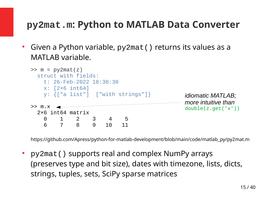#### **py2mat.m: Python to MATLAB Data Converter**

Given a Python variable, py2mat () returns its values as a MATLAB variable.

```
\Rightarrow m = py2mat(z)
  struct with fields:
    t: 26-Feb-2022 18:30:30
    x: [2×6 int64]
    y: {["a list"] ["with strings"]}
>> m.x.
  2×6 int64 matrix
    0 1 2 3 4 5
 6 7 8 9 10 11
                                              idiomatic MATLAB;
                                              more intuitive than
                                              double(z.get('x'))
```
[https://github.com/Apress/python-for-matlab-development/blob/main/code/matlab\\_py/py2mat.m](https://github.com/Apress/python-for-matlab-development/blob/main/code/matlab_py/py2mat.m)

• py2mat () supports real and complex NumPy arrays (preserves type and bit size), dates with timezone, lists, dicts, strings, tuples, sets, SciPy sparse matrices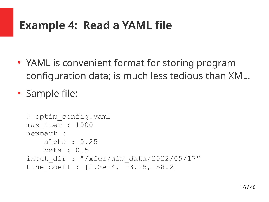## **Example 4: Read a YAML file**

• YAML is convenient format for storing program configuration data; is much less tedious than XML.

• Sample file:

```
# optim_config.yaml
max_iter : 1000
newmark :
     alpha : 0.25
     beta : 0.5 
input dir : "/xfer/sim data/2022/05/17"
tune coeff : [1.2e-4, -3.25, 58.2]
```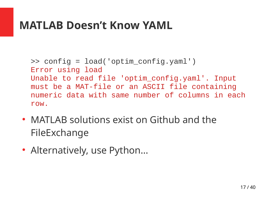## **MATLAB Doesn't Know YAML**

```
>> config = load('optim_config.yaml')
Error using load
Unable to read file 'optim_config.yaml'. Input 
must be a MAT-file or an ASCII file containing 
numeric data with same number of columns in each 
row.
```
- MATLAB solutions exist on Github and the FileExchange
- Alternatively, use Python...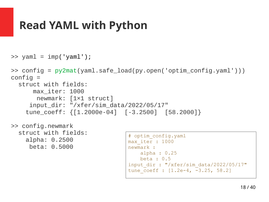## **Read YAML with Python**

```
\gg yaml = imp('yaml');
>> config = py2mat(yaml.safe_load(py.open('optim_config.yaml')))
config = struct with fields:
       max_iter: 1000
        newmark: [1×1 struct]
      input_dir: "/xfer/sim_data/2022/05/17"
     tune_coeff: {[1.2000e-04] [-3.2500] [58.2000]}
```
>> config.newmark struct with fields: alpha: 0.2500 beta: 0.5000

```
# optim config.yaml
max_iter : 1000
newmark :
     alpha : 0.25
     beta : 0.5 
input_dir : "/xfer/sim_data/2022/05/17"
tune \overline{\text{coeff}} : [1.2e-4, -3.25, 58.2]
```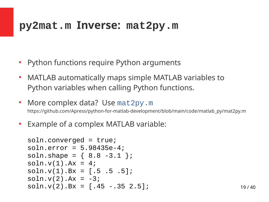## **py2mat.m Inverse: mat2py.m**

- Python functions require Python arguments
- MATLAB automatically maps simple MATLAB variables to Python variables when calling Python functions.
- More complex data? Use mat 2py.m [https://github.com/Apress/python-for-matlab-development/blob/main/code/matlab\\_py/mat2py.m](https://github.com/Apress/python-for-matlab-development/blob/main/code/matlab_py/mat2py.m)
- Example of a complex MATLAB variable:

```
soln.converged = true;
soln.error = 5.98435e-4;
soln.shape = \{ 8.8 -3.1 \};
soln.v(1).Ax = 4;soln.v(1).Bx = [.5 \t.5 \t.5];
soln.v(2).Ax = -3;
soln.v(2).Bx = [.45 - .35 2.5];
```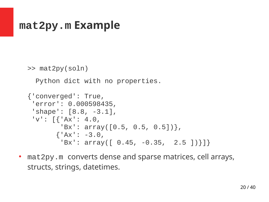## **mat2py.m Example**

```
>> mat2py(soln)
```
Python dict with no properties.

```
{'converged': True,
  'error': 0.000598435,
  'shape': [8.8, -3.1], 
 'V': [{'Ax': 4.0,
         'Bx': array([0.5, 0.5, 0.5])},
       {^{\prime}Ax': -3.0},
          'Bx': array([ 0.45, -0.35, 2.5 ])}]}
```
• mat2py.m converts dense and sparse matrices, cell arrays, structs, strings, datetimes.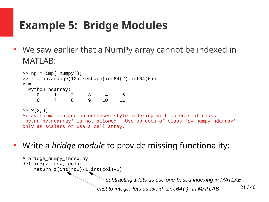# **Example 5: Bridge Modules**

We saw earlier that a NumPy array cannot be indexed in MATLAB:

```
\Rightarrow np = imp('numpy');
\Rightarrow x = np.arange(12).reshape(int64(2),int64(6))
x = Python ndarray:
 0 1 2 3 4 5
 6 7 8 9 10 11
```
 $>> x(2,4)$ 

```
Array formation and parentheses-style indexing with objects of class 
'py.numpy.ndarray' is not allowed. Use objects of class 'py.numpy.ndarray' 
only as scalars or use a cell array.
```
Write a *bridge module* to provide missing functionality:

```
21 / 40
# bridge_numpy_index.py
def ind(z, row, col):
    return z(int(row)-1, int(col)-1]cast to integer lets us avoid int64() in MATLAB 
                                subtracting 1 lets us use one-based indexing in MATLAB
```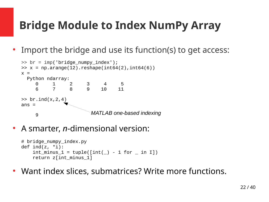# **Bridge Module to Index NumPy Array**

● Import the bridge and use its function(s) to get access:

```
\Rightarrow br = imp('bridge_numpy_index');
\Rightarrow x = np.arange(12).reshape(int64(2),int64(6))
x = Python ndarray:
      0 1 2 3 4 5<br>6 7 8 9 10 11
      \begin{array}{cccc} 0 & 1 & 2 \\ 6 & 7 & 8 \end{array}\gg br.ind(x, 2, 4)
ans = 9
                               MATLAB one-based indexing
```
• A smarter, *n*-dimensional version:

```
# bridge_numpy_index.py
def ind(z, *i):
     int minus 1 = \text{tuple}(\lceil \text{int}(\ ) - 1 for \; in I])
      return z[int_minus_1]
```
Want index slices, submatrices? Write more functions.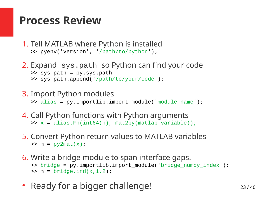## **Process Review**

- 1. Tell MATLAB where Python is installed >> pyenv('Version', '/path/to/python');
- 2. Expand sys.path so Python can find your code >> sys\_path = py.sys.path >> sys\_path.append('/path/to/your/code');
- 3. Import Python modules >> alias = py.importlib.import module('module name');
- 4. Call Python functions with Python arguments  $\Rightarrow$  x = alias.Fn(int64(n), mat2py(matlab variable));
- 5. Convert Python return values to MATLAB variables  $\Rightarrow$  m = py2mat(x);
- 6. Write a bridge module to span interface gaps. >> bridge = py.importlib.import\_module('bridge\_numpy\_index');  $\Rightarrow$   $m = \text{bridge-ind}(x, 1, 2)$ ;
- Ready for a bigger challenge!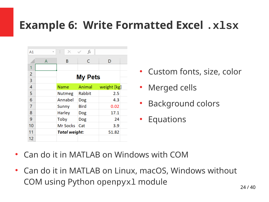## **Example 6: Write Formatted Excel .xlsx**

| A1             | $\overline{\phantom{a}}$ | Î<br>$\times$        | $f_x$       |             |  |  |  |
|----------------|--------------------------|----------------------|-------------|-------------|--|--|--|
|                | A                        | B                    | C           | D           |  |  |  |
| 1              |                          |                      |             |             |  |  |  |
| 2              |                          |                      |             |             |  |  |  |
| $\overline{3}$ |                          | <b>My Pets</b>       |             |             |  |  |  |
| 4              |                          | <b>Name</b>          | Animal      | weight [kg] |  |  |  |
| 5              |                          | <b>Nutmeg</b>        | Rabbit      | 2.5         |  |  |  |
| 6              |                          | Annabel              | Dog         | 4.3         |  |  |  |
| 7              |                          | Sunny                | <b>Bird</b> | 0.02        |  |  |  |
| 8              |                          | Harley               | Dog         | 17.1        |  |  |  |
| 9              |                          | Toby                 | Dog         | 24          |  |  |  |
| 10             |                          | Mr Socks             | Cat         | 3.9         |  |  |  |
| 11             |                          | <b>Total weight:</b> |             | 51.82       |  |  |  |
| 12             |                          |                      |             |             |  |  |  |

- Custom fonts, size, color
- Merged cells
- Background colors
- Equations

- Can do it in MATLAB on Windows with COM
- Can do it in MATLAB on Linux, macOS, Windows without COM using Python openpyxl module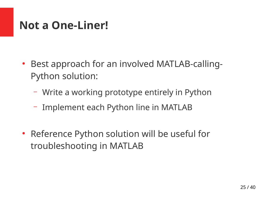## **Not a One-Liner!**

- Best approach for an involved MATLAB-calling-Python solution:
	- Write a working prototype entirely in Python
	- Implement each Python line in MATLAB
- Reference Python solution will be useful for troubleshooting in MATLAB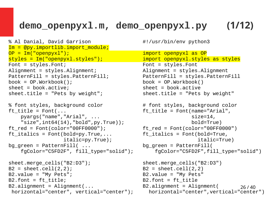## **demo\_openpyxl.m, demo\_openpyxl.py (1/12)**

```
% Al Danial, David Garrison #!/usr/bin/env python3
Im = @py.importlib.import_module;
OP = Im("openpyxl");<br>
styles = Im("openpyxl.styles");           import openpyxl.styles as styles
style styles = Im("openpyxl.styles");
Font = styles.Font; Font = styles.Font
Alignment = styles.Alignment; Alignment = styles.Alignment
PatternFill = styles.PatternFill; PatternFill = styles.PatternFill
book = OP.Workbook(); book = OP.Workbook()
sheet = book.active; sheet = book.active
sheet.title = "Pets by weight"; sheet.title = "Pets by weight"
% font styles, background color \# font styles, background color
ft title = Font(... ft title = Font(name="Arial",
    pyargs("name","Arial", ... size=14,
    "size",int64(14),"bold",py.True)); bold=True)
ftred = Font(color="00FF0000"); ftred = Font(color="00FF0000")ft italics = Font(bold=pv.True,... ft italics = Font(bold=True,bg_green = PatternFill( ... bg_green = PatternFill(
sheet.merge_cells("B2:D3"); sheet.merge_cells("B2:D3")
B2 = sheet.cell(2,2); B2 = sheet.cell(2,2)B2.value = "My Pets"; \qquad \qquad B2.value = "My Pets"
B2.font = ft_title; B2.font = ft_title
B2.alignment = Alignment(... B2.alignment = Alignment(
horizontal="center", vertical="center");
```

```
26 / 40
          italic=py.True); italic=True)
 fgColor="C5FD2F", fill_type="solid"); fgColor="C5FD2F",fill_type="solid")
```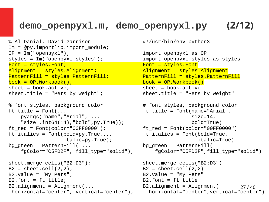## **demo\_openpyxl.m, demo\_openpyxl.py (2/12)**

```
% Al Danial, David Garrison #!/usr/bin/env python3
Im = @py.importlib.import_module; 
OP = Im("openpyxl");<br>
styles = Im("openpyxl.styles");<br>
import openpyxl.styles as styles
style = Im("openpyx1.styles");
Font = styles.Font; Font = styles.Font = styles.Font
Alignment = styles.Alignment; Alignment = styles.Alignment
PatternFill = styles.PatternFill; PatternFill = styles.PatternFill
book = OP.Workbook(); book = OP.Workbook()
sheet = book.active; sheet = book.active
sheet.title = "Pets by weight"; sheet.title = "Pets by weight"
% font styles, background color \# font styles, background color
ft title = Font(... ft title = Font(name="Arial",
    pyargs("name","Arial", ... size=14,
    "size",int64(14),"bold",py.True)); bold=True)
ftred = Font(color="00FF0000"); ftred = Font(color="00FF0000")ft italics = Font(bold=pv.True,... ft italics = Font(bold=True,bg_green = PatternFill( ... bg_green = PatternFill(
sheet.merge_cells("B2:D3"); sheet.merge_cells("B2:D3")
B2 = sheet.cell(2,2); B2 = sheet.cell(2,2)B2.value = "My Pets"; extending the B2.value = "My Pets"
B2.font = ft title; B2.font = ft title
B2.alignment = Alignment(... B2.alignment = Alignment(
```

```
horizontal="center", vertical="center");
```

```
27 / 40
          italic=py.True); italic=True)
 fgColor="C5FD2F", fill_type="solid"); fgColor="C5FD2F",fill_type="solid")
```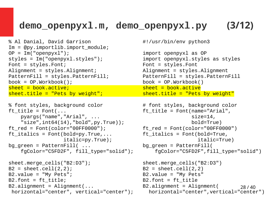## **demo\_openpyxl.m, demo\_openpyxl.py (3/12)**

```
% Al Danial, David Garrison #!/usr/bin/env python3
Im = @py.importlib.import_module; 
OP = Im("openpyxl");<br>
styles = Im("openpyxl.styles");<br>
import openpyxl.styles as styles
style = Im("openpyx1.styles");
Font = styles.Font; Font = styles.Font
Alignment = styles.Alignment; Alignment = styles.Alignment
PatternFill = styles.PatternFill; PatternFill = styles.PatternFill
book = OP.Workbook(); book = OP.Workbook()
sheet = book.active;sheet.title = "Pets by weight"; \blacksquare sheet.title = "Pets by weight"
```

```
% font styles, background color \# font styles, background color
ft title = Font(... ft title = Font(name="Arial",
    pyargs("name","Arial", ... size=14,
    "size",int64(14),"bold",py.True)); bold=True)
ftred = Font(color="00FF0000"); ftred = Font(color="00FF0000")ft italics = Font(bold=pv.True,... ft italics = Font(bold=True,bg green = PatternFill( \ldotssheet.merge_cells("B2:D3"); sheet.merge_cells("B2:D3")
```

```
B2 = sheet.cell(2,2); B2 = sheet.cell(2,2)B2.value = "My Pets"; extending the B2.value = "My Pets"
B2.font = ft title; B2.font = ft title
B2.alignment = Alignment(... B2.alignment = Alignment(
horizontal="center", vertical="center");
```

```
italic=py.True);<br>italic=True);<br>bg_green = PatternFill(
 fgColor="C5FD2F", fill_type="solid"); fgColor="C5FD2F",fill_type="solid")
```

```
28 / 40
```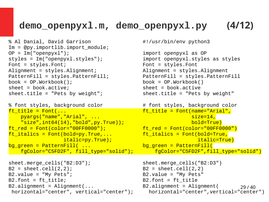## **demo\_openpyxl.m, demo\_openpyxl.py (4/12)**

```
% Al Danial, David Garrison #!/usr/bin/env python3
Im = @py.importlib.import_module; 
OP = Im("openpyxl");<br>
styles = Im("openpyxl.styles");<br>
import openpyxl.styles as styles
style = Im("openpyx1.styles");
Font = styles.Font; Font = styles.Font
Alignment = styles.Alignment; Alignment = styles.Alignment
PatternFill = styles.PatternFill; PatternFill = styles.PatternFill
book = OP.Workbook(); book = OP.Workbook()
sheet = book.active; sheet = book.active
sheet.title = "Pets by weight"; sheet.title = "Pets by weight"
```

```
% font styles, background color \# font styles, background color
\mathsf{ft\_title} = Font(... \blacksquare ) = \mathsf{ft\_title} = Font(name="Arial",
    pyargs("name","Arial", ...<br>https://www.community.community/size=14,"<br>size".int64(14)."bold".pv.True));
    "size", int64(14), "bold", py.True);
ft_red = Font(color="00FF0000"); ft_red = Font(color="00FF0000")
{\sf ft\_italics = Font(bold=py=True, \ldots \atop italic=pv=True);}italic=py.True);
bq green = PatternFill( \ldots bg green = PatternFill(
```

```
sheet.merge_cells("B2:D3"); sheet.merge_cells("B2:D3")
B2 = sheet.cell(2,2); B2 = sheet.cell(2,2)B2.value = "My Pets"; extending the B2.value = "My Pets"
B2.font = ft title; B2.font = ft title
B2.alignment = Alignment(... B2.alignment = Alignment(
horizontal="center", vertical="center");
```

```
fgColor="C5FD2F", fill_type="solid");    fgColor="C5FD2F",fill_type="solid")
```

```
29 / 40
```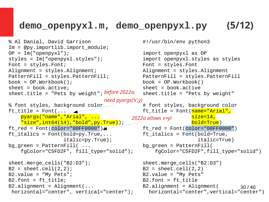### **demo\_openpyxl.m, demo\_openpyxl.py (5/12)**

```
% Al Danial, David Garrison #!/usr/bin/env python3
Im = @py.importlib.import_module; 
OP = Im("openpyxl");<br>
styles = Im("openpyxl.styles");<br>
import openpyxl.styles as styles
style = Im("openpyx1.styles");
Font = styles.Font; Font = styles.Font
Alignment = styles.Alignment; Alignment = styles.Alignment
PatternFill = styles.PatternFill; PatternFill = styles.PatternFill
book = OP.Workbook(); book = OP.Workbook()
sheet = book.active; sheet = book.active
sheet.title = "Pets by weight";    before 2022a,  sheet.title = "Pets by weight"
% font styles, background color \begin{array}{ccc} \text{# font styles, background color} \\ \text{ft\_title = Font} \text{(name="Arial",} \end{array} pyargs("name","Arial", ... size=14,
   "size", int64(14), "bold", py. True); \overline{\hspace{2cm}} \overline{\hspace{2cm}} \hspace{2cm} \text{bold=True}ft\_red = Font(color="00FF0000") ft\_red = Font(color="00FF0000")ft italics = Font(bold=py=True,... ft_italics = Font(bold=True,italic=py.True);<br>italic=True);<br>bg_green = PatternFill(
bg green = PatternFill( \ldots fgColor="C5FD2F", fill_type="solid"); fgColor="C5FD2F",fill_type="solid")
sheet.merge_cells("B2:D3"); sheet.merge_cells("B2:D3")
B2 = sheet.cell(2,2); B2 = sheet.cell(2,2)B2.value = "My Pets"; \qquad \qquad B2.value = "My Pets"
B2.font = ft title; B2.font = ft title
B2.alignment = Alignment(... B2.alignment = Alignment(
 horizontal="center", vertical="center");
                             need pyargs('x',y)
                                      2022a allows x=y!
```

```
30 / 40
ft\_title = Font(name="Arr11",
```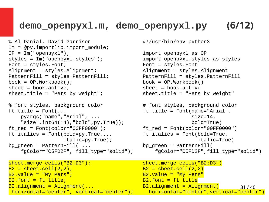## **demo\_openpyxl.m, demo\_openpyxl.py (6/12)**

```
% Al Danial, David Garrison #!/usr/bin/env python3
Im = @py.importlib.import_module; 
OP = Im("openpyxl");<br>
styles = Im("openpyxl.styles");<br>
import openpyxl.styles as styles
style = Im("openpyx1.styles");
Font = styles.Font; Font = styles.Font
Alignment = styles.Alignment; Alignment = styles.Alignment
PatternFill = styles.PatternFill; PatternFill = styles.PatternFill
book = OP.Workbook(); book = OP.Workbook()
sheet = book.active; sheet = book.active
sheet.title = "Pets by weight"; sheet.title = "Pets by weight"
% font styles, background color \# font styles, background color
ft title = Font(... ft title = Font(name="Arial",
    pyargs("name","Arial", ... size=14,
    "size",int64(14),"bold",py.True)); bold=True)
ftred = Font(color="00FF0000"); ftred = Font(color="00FF0000")ft italics = Font(bold=pv.True,... ft italics = Font(bold=True,bg_green = PatternFill( ... bg_green = PatternFill(
```

```
horizontal="center", vertical="center");
```

```
 italic=py.True); italic=True)
 fgColor="C5FD2F", fill_type="solid"); fgColor="C5FD2F",fill_type="solid")
```

```
dedications.com/horidial/horizontal="center");<br>horizontal="center",vertical="center");
sheet.merge_cells("B2:D3");           sheet.merge_cells("B2:D3")
B2 = sheet.cell(2,2); B2 = sheet.cell(2,2)
B2.value = "My Pets"; B2.value = "My Pets";
B2. font = ft title; B2.font = ft title
B2.alignment = Alignment(... B2.alignment = Alignment(
```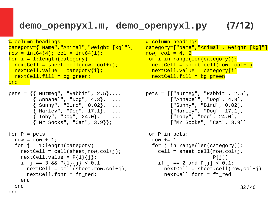### **demo\_openpyxl.m, demo\_openpyxl.py (7/12)**

```
\texttt{category} = \{\texttt{"Name"}\,,\texttt{"Animal"}\,,\texttt{"weight [kg]"}\};\qquad \texttt{category} = [\texttt{"Name"}\,,\texttt{row} = \texttt{int64(4)}\};\qquadrow = int64(4); col = int64(1);<br>for i = 1:length(category)
 )r i = 1:length(category)           for i in range(len(category)):<br>nextCell = sheet.cell(row, col+i);      nextCell = sheet.cell(row, c
 nextCell.value = category{i};nextCell.fill = bg green; nextCell.fill = bg green
end 
pets = {{"Nutmeg", "Rabbit", 2.5},... pets = [["Nutmeg", "Rabbit", 2.5],
 {"Annabel", "Dog", 4.3}, ... ["Annabel", "Dog", 4.3],
        {\{"Harley", "Dog", 17.1}, ...
         {"Toby", "Dog", 24.0}, ... ["Toby", "Dog", 24.0],
         {"Mr Socks", "Cat", 3.9}}; ["Mr Socks", "Cat", 3.9]]
for P = pets for P in pets:
  row = row + 1; row  == 1 for j = 1:length(category) for j in range(len(category)):
    nextCell = cell(sheet, row, col+j); cell = sheet.cell(row, col+j,nextCell.value = P{1}{i};if j == 3 && P\{1\}\{j\} < 0.1 if j == 2 and P[j] < 0.1:
      nextCell.font = ft red; extCell.font = ft red
    end 
  end 
end
```

```
% column headings<br>category={"Name","Animal","weight [kg]"};   category=["Name","Animal","weight [kg]"]
                                                                   nextCell = sheet.cell(row, col+i)<br>nextCell.value = category[i]
```

```
{"Nutmeg", "Rabbit", 2.5},...                               [["Nutmeg", "Rabbit", 2.5],<br>{"Annabel", "Dog", 4.3}, ...             ["Annabel", "Dog", 4.3],<br>{"Sunny", "Bird", 0.02}, ...         ["Sunny", "Bird", 0.02],<br>{"Harl
```

```
nextCell = cell(sheet, row, col+j); nextCell = sheet.cell(row, col+j)
```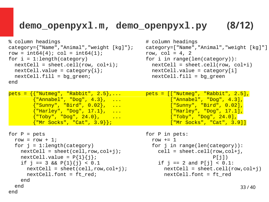### **demo\_openpyxl.m, demo\_openpyxl.py (8/12)**

nextCell.font = ft red; extCell.font = ft red

```
% column headings # column headings
category={"Name","Animal","weight [kg]"};
row = int64(4); col = int64(1); \begin{array}{ccc} \text{row} & = & \text{int64(4)}; \\ \text{for i = 1:length(category)} & \text{for i in range} \end{array}for i in range(len(category)):
  nextCell = sheet.cell(row, col+i);<br>
nextCell.value = category\{i\};<br>
nextCell.value = category[i]nextCell.value = category{i};nextCell.fill = bg green; nextCell.fill = bg green
end 
pets = {{"Nutmeg", "Rabbit", 2.5},... pets = [["Nutmeg", "Rabbit", 2.5],
 {"Annabel", "Dog", 4.3}, ... ["Annabel", "Dog", 4.3],
        {"Nutmeg", "Rabbit", 2.5},...                pets = [["Nutmeg", "Rabbit", 2.5],<br>{"Annabel", "Dog", 4.3},  ...                 ["Annabel", "Dog", 4.3],<br>{"Sunny", "Bird", 0.02},  ...               ["Sunny", "Bird", 0.02],
         {"Harley", "Dog", 17.1}, ... ["Harley", "Dog", 17.1],
         {"Toby", "Dog", 24.0}, ... ["Toby", "Dog", 24.0],
         {"Mr Socks", "Cat", 3.9}}; ["Mr Socks", "Cat", 3.9]]
for P = pets for P in pets:
  row = row + 1; row  == 1 for j = 1:length(category) for j in range(len(category)):
    nextCell = sheet(cell, row, col+j); cell = sheet(1, row, col+j);nextCell.value = P{1}{j};<br>if j == 3 && P{1}{j} < 0.1 \qquad if j == 2 and P[j] < 0.1:
    if j == 3 && P{1}{j} < 0.1
      nextCell = sheet(cell, row, col+j); nextCell = shell(row, col+j)
```
end

end

end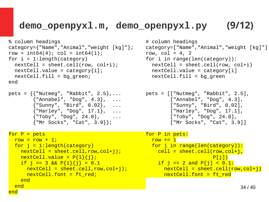### **demo\_openpyxl.m, demo\_openpyxl.py (9/12)**

```
% column headings # column headings
category={"Name","Animal","weight [kg]"};
row = int64(4); col = int64(1); \begin{array}{ccc} \text{row} & = & \text{int64(4)}; \\ \text{for i = 1:length(category)} & \text{for i in range} \end{array}nextCell = sheet.cell(row, col+i);<br>
nextCell.value = category[i];<br>
nextCell.value = category[i]nextCell.value = category{i};nextCell.fill = bg green; nextCell.fill = bg green
end 
pets = {{"Nutmeg", "Rabbit", 2.5},... pets = [["Nutmeg", "Rabbit", 2.5],
 {"Annabel", "Dog", 4.3}, ... ["Annabel", "Dog", 4.3],
            {\{"Harley", "Dog", 17.1}, ...
             {"Toby", "Dog", 24.0}, ... ["Toby", "Dog", 24.0],
             {"Mr Socks", "Cat", 3.9}}; ["Mr Socks", "Cat", 3.9]]
for P = pets for P = pets:
  \begin{array}{rcl} \text{row} & = & \text{row} + 1; \\ \text{for i = 1:} \text{length}(\text{category}) & \text{for i in} \end{array}nextCell = sheet.cell, row, col+j); cell = shell (row, col+j)\begin{array}{l} \texttt{nextCell}.\texttt{value = P{1}{j}\} \texttt{;} \ \texttt{new = P{j} \} \ \texttt{new = new} \ \texttt{new = new} \ \texttt{new = new} \ \texttt{new = new} \ \texttt{new = new} \ \texttt{new = new} \ \texttt{new = new} \ \texttt{new = new} \ \texttt{new = new} \ \texttt{new = new} \ \texttt{new = new} \ \texttt{new = new} \ \texttt{new = new} \ \texttt{new = new} \ \texttt{new = new} \ \texttt{new = new} \ \texttt{new = new} \ \texttt{new = new} \ \texttt{new = new} \ \textif j = 3 && P{1}{j} < 0.1
        nextCell.font = ft_red; nextCell.font = ft_red
      end 
   end
```
end

```
for i in range(len(category)):<br>nextCell = sheet.cell(row, col+i)
```

```
{"Nutmeg", "Rabbit", 2.5},...                               [["Nutmeg", "Rabbit", 2.5],<br>{"Annabel", "Dog", 4.3}, ...             ["Annabel", "Dog", 4.3],<br>{"Sunny", "Bird", 0.02}, ...         ["Sunny", "Bird", 0.02],<br>{"Harl
```

```
for i in range(len(category)):
nextCell = sheet.cell, row.col+j); nextCell = sheet.cell(row,col+j)
```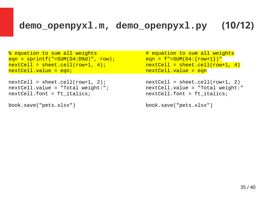### **demo\_openpyxl.m, demo\_openpyxl.py (10/12)**

```
% equation to sum all weights # equation to sum all weights
eqn = sprintf("=SUM(D4:D%d)", row);       eqn = f"=SUM(D4:{row+1})"<br>nextCell = sheet.cell(row+1, 4);         nextCell = sheet.cell(row
nextCell = sheet.cell(row+1, 4);<br>nextCell.value = eqn;             nextCell.value = eqn
```

```
nextCell = sheet.cell(row+1, 2);<br>nextCell.value = "Total weight:";          nextCell.value = "Total weight:"
nextCell.value = "Total weight:".nextCell.font = ft_italics; nextCell.font = ft\_italics;
```

```
book.save("pets.xlsx") book.save("pets.xlsx")
```
 $nextCell.value = eqn$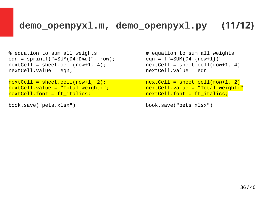### **demo\_openpyxl.m, demo\_openpyxl.py (11/12)**

% equation to sum all weights  $\#$  equation to sum all weights  $\#$  equation to sum all weights eqn = f"=SUM(D4:{row+1})" eqn = sprintf("=SUM(D4:D%d)", row); eqn = f"=SUM(D4:{row+1})"<br>nextCell = sheet.cell(row+1, 4); nextCell = sheet.cell(row+1, 4)  $nextCell = sheet.cell(row+1, 4);$ nextCell.value = eqn; extCell.value = eqn

```
nextCell.value = "Total weight:";<br>nextCell.font = ft_italics;
```

```
book.save("pets.xlsx") book.save("pets.xlsx")
```
nextCell = sheet.cell(row+1, 2);<br>nextCell.value = "Total weight:"; nextCell.value = "Total weight:"  $nextCell.font = ft\_italics;$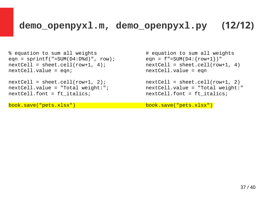### **demo\_openpyxl.m, demo\_openpyxl.py (12/12)**

```
% equation to sum all weights \# equation to sum all weights \# equation to sum all weights eqn = f"=SUM(D4:{row+1})"
eqn = sprintf("=SUM(D4:D%d)", row);    eqn = f"=SUM(D4:{row+1})"<br>nextCell = sheet.cell(row+1, 4);          nextCell = sheet.cell(row+1, 4)
nextCell = sheet.cell(row+1, 4);nextCell.value = eqn; extCell.value = eqn
```

```
nextCell = sheet.cell(row+1, 2);<br>nextCell.value = "Total weight:";          nextCell.value = "Total weight:"
nextCell.value = "Total weight:".nextCell.font = ft_italics; nextCell.font = ft_italics;
```
book.save("pets.xlsx") book.save("pets.xlsx")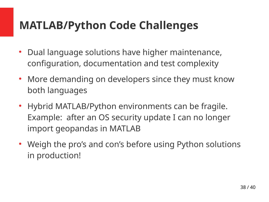# **MATLAB/Python Code Challenges**

- Dual language solutions have higher maintenance, configuration, documentation and test complexity
- More demanding on developers since they must know both languages
- Hybrid MATLAB/Python environments can be fragile. Example: after an OS security update I can no longer import geopandas in MATLAB
- Weigh the pro's and con's before using Python solutions in production!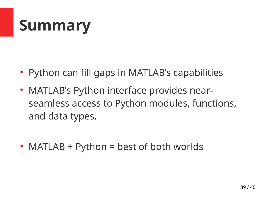# **Summary**

- Python can fill gaps in MATLAB's capabilities
- MATLAB's Python interface provides nearseamless access to Python modules, functions, and data types.
- MATLAB + Python = best of both worlds